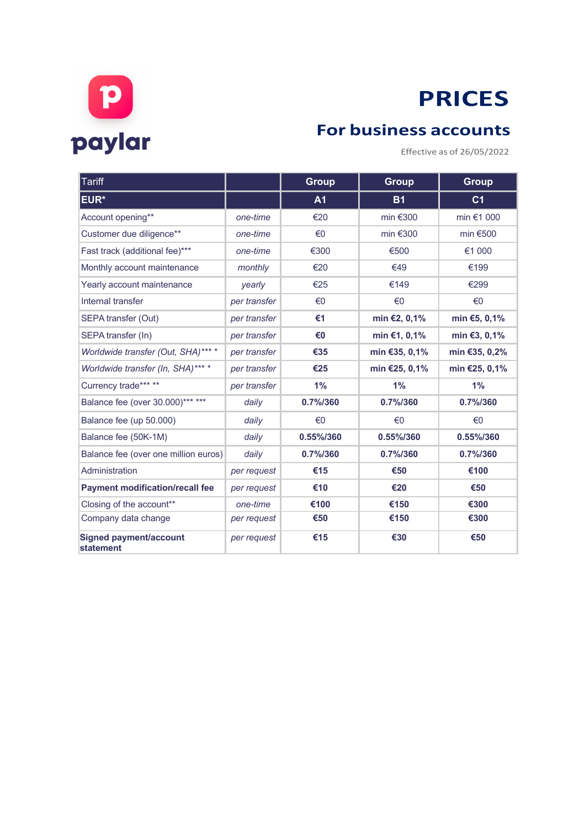

## **PRICES**

Effective as of 26/05/2022

| <b>Tariff</b>                                     |              | <b>Group</b>   | Group                | <b>Group</b>   |
|---------------------------------------------------|--------------|----------------|----------------------|----------------|
| EUR*                                              |              | A <sub>1</sub> | <b>B1</b>            | C <sub>1</sub> |
| Account opening**                                 | one-time     | €20            | min $€300$           | min €1 000     |
| Customer due diligence**                          | one-time     | €0             | min $€300$           | min $€500$     |
| Fast track (additional fee)***                    | one-time     | €300           | €500                 | €1 000         |
| Monthly account maintenance                       | monthly      | €20            | €49                  | €199           |
| Yearly account maintenance                        | yearly       | €25            | €149                 | €299           |
| Internal transfer                                 | per transfer | €0             | €0                   | €0             |
| SEPA transfer (Out)                               | per transfer | €1             | min €2, 0,1%         | min €5, 0,1%   |
| SEPA transfer (In)                                | per transfer | €0             | min €1, 0,1%         | min €3, 0,1%   |
| Worldwide transfer (Out, SHA)*** *                | per transfer | €35            | min €35, 0,1%        | min €35, 0,2%  |
| Worldwide transfer (In, SHA)*** *                 | per transfer | €25            | min €25, 0,1%        | min €25, 0,1%  |
| Currency trade*** **                              | per transfer | 1%             | 1%                   | 1%             |
| Balance fee (over 30.000)*** ***                  | daily        | 0.7%/360       | $0.7\frac{1}{6}$ 360 | 0.7% / 360     |
| Balance fee (up 50.000)                           | daily        | €0             | €0                   | €0             |
| Balance fee (50K-1M)                              | daily        | 0.55%/360      | 0.55%/360            | 0.55%/360      |
| Balance fee (over one million euros)              | daily        | 0.7%/360       | $0.7\frac{1}{6}$ 360 | 0.7% / 360     |
| Administration                                    | per request  | €15            | €50                  | €100           |
| <b>Payment modification/recall fee</b>            | per request  | €10            | €20                  | €50            |
| Closing of the account**                          | one-time     | €100           | €150                 | €300           |
| Company data change                               | per request  | €50            | €150                 | €300           |
| <b>Signed payment/account</b><br><b>statement</b> | per request  | €15            | €30                  | €50            |